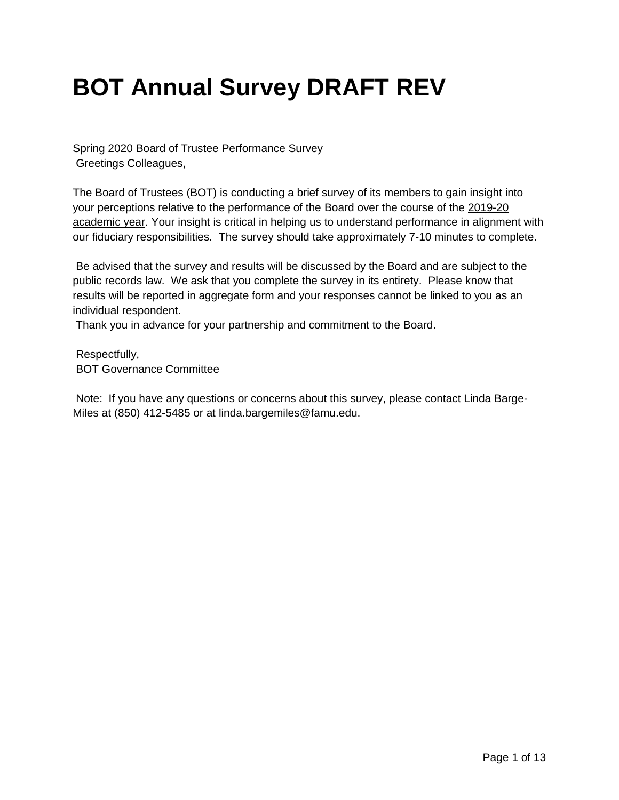# **BOT Annual Survey DRAFT REV**

Spring 2020 Board of Trustee Performance Survey Greetings Colleagues,

The Board of Trustees (BOT) is conducting a brief survey of its members to gain insight into your perceptions relative to the performance of the Board over the course of the 2019-20 academic year. Your insight is critical in helping us to understand performance in alignment with our fiduciary responsibilities. The survey should take approximately 7-10 minutes to complete.

Be advised that the survey and results will be discussed by the Board and are subject to the public records law. We ask that you complete the survey in its entirety. Please know that results will be reported in aggregate form and your responses cannot be linked to you as an individual respondent.

Thank you in advance for your partnership and commitment to the Board.

Respectfully, BOT Governance Committee

Note: If you have any questions or concerns about this survey, please contact Linda Barge-Miles at (850) 412-5485 or at linda.bargemiles@famu.edu.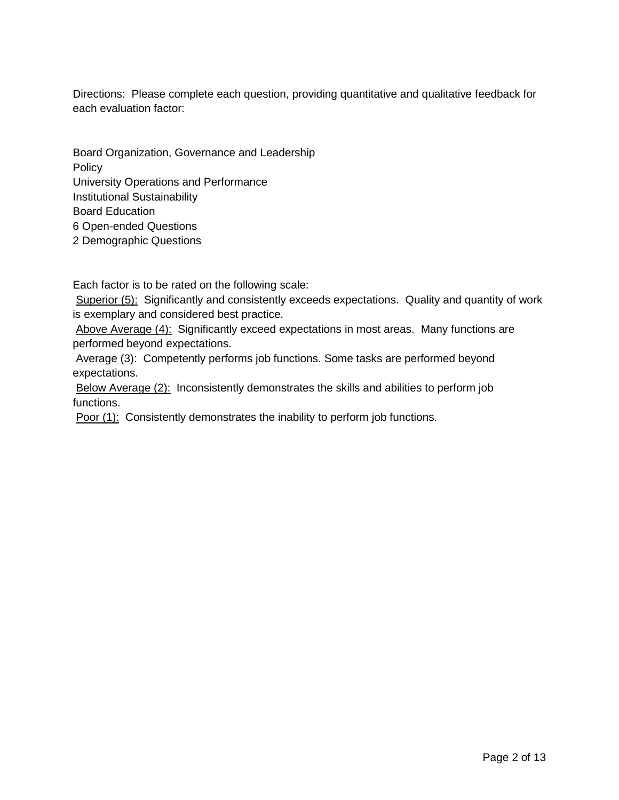Directions: Please complete each question, providing quantitative and qualitative feedback for each evaluation factor:

Board Organization, Governance and Leadership **Policy** University Operations and Performance Institutional Sustainability Board Education 6 Open-ended Questions 2 Demographic Questions

Each factor is to be rated on the following scale:

Superior (5): Significantly and consistently exceeds expectations. Quality and quantity of work is exemplary and considered best practice.

Above Average (4): Significantly exceed expectations in most areas. Many functions are performed beyond expectations.

Average (3): Competently performs job functions. Some tasks are performed beyond expectations.

Below Average (2): Inconsistently demonstrates the skills and abilities to perform job functions.

Poor (1): Consistently demonstrates the inability to perform job functions.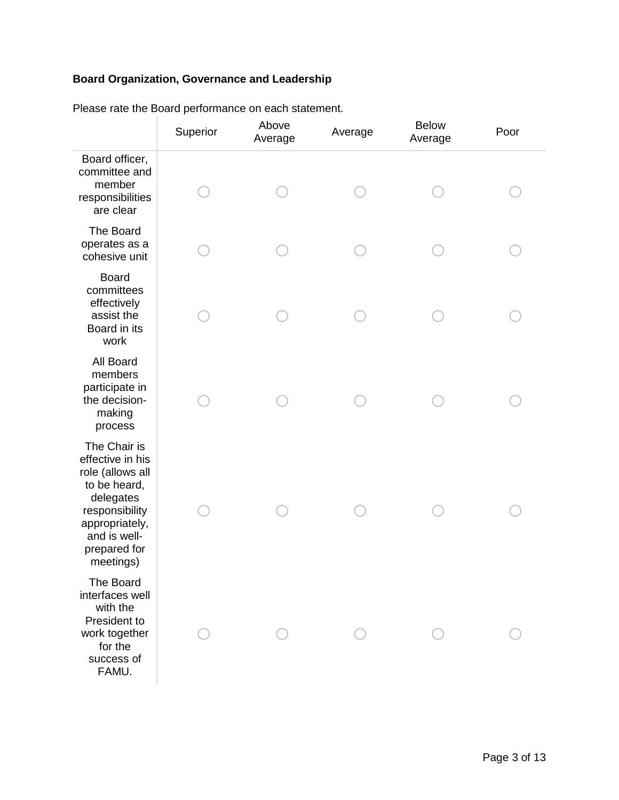## **Board Organization, Governance and Leadership**

|                                                                                                                                                                    | Superior | Above<br>Average | Average | <b>Below</b><br>Average | Poor |
|--------------------------------------------------------------------------------------------------------------------------------------------------------------------|----------|------------------|---------|-------------------------|------|
| Board officer,<br>committee and<br>member<br>responsibilities<br>are clear                                                                                         |          |                  |         |                         |      |
| The Board<br>operates as a<br>cohesive unit                                                                                                                        |          |                  |         |                         |      |
| <b>Board</b><br>committees<br>effectively<br>assist the<br>Board in its<br>work                                                                                    |          |                  |         |                         |      |
| All Board<br>members<br>participate in<br>the decision-<br>making<br>process                                                                                       |          |                  |         |                         |      |
| The Chair is<br>effective in his<br>role (allows all<br>to be heard,<br>delegates<br>responsibility<br>appropriately,<br>and is well-<br>prepared for<br>meetings) |          |                  |         |                         |      |
| The Board<br>interfaces well<br>with the<br>President to<br>work together<br>for the<br>success of<br>FAMU.                                                        |          |                  |         |                         |      |

Please rate the Board performance on each statement.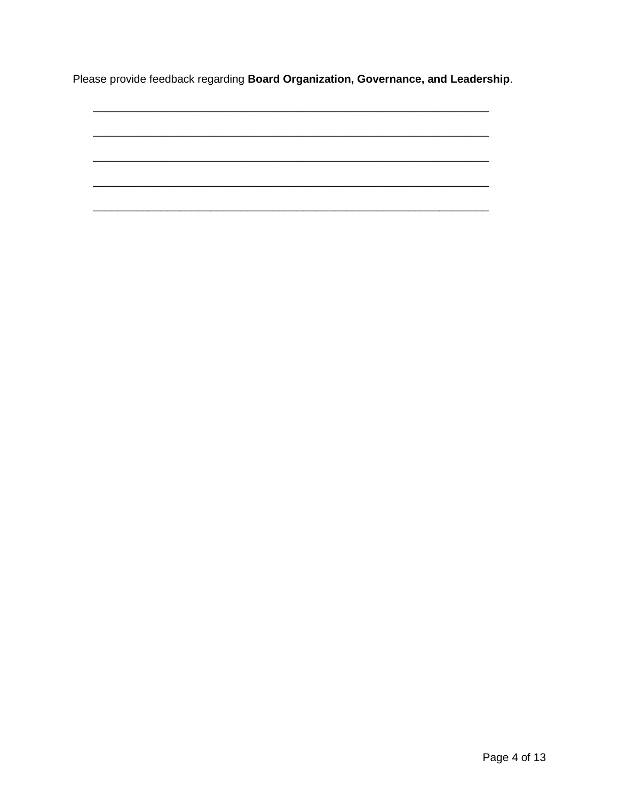Please provide feedback regarding Board Organization, Governance, and Leadership.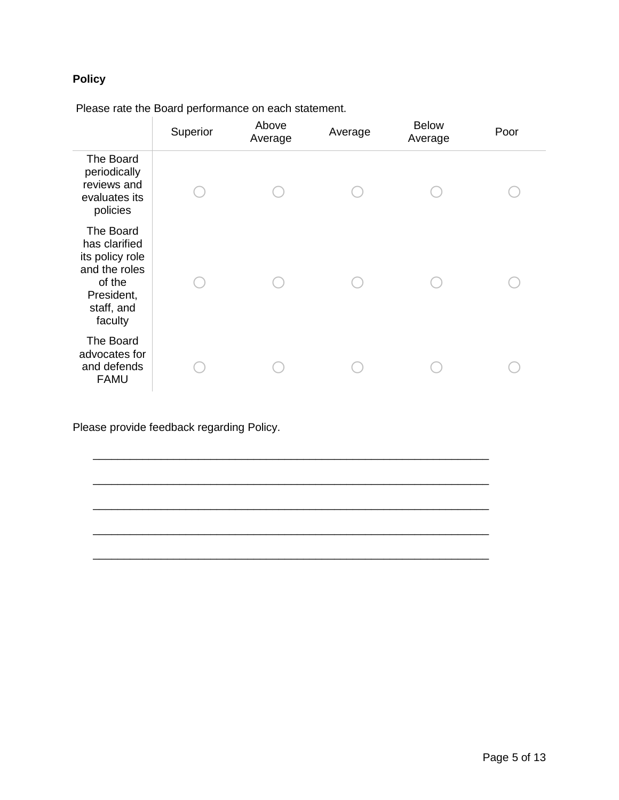## **Policy**

Please rate the Board performance on each statement.

|                                                                                                                 | Superior | Above<br>Average | Average | <b>Below</b><br>Average | Poor |
|-----------------------------------------------------------------------------------------------------------------|----------|------------------|---------|-------------------------|------|
| The Board<br>periodically<br>reviews and<br>evaluates its<br>policies                                           |          |                  |         |                         |      |
| The Board<br>has clarified<br>its policy role<br>and the roles<br>of the<br>President,<br>staff, and<br>faculty |          |                  |         |                         |      |
| The Board<br>advocates for<br>and defends<br><b>FAMU</b>                                                        |          |                  |         |                         |      |

\_\_\_\_\_\_\_\_\_\_\_\_\_\_\_\_\_\_\_\_\_\_\_\_\_\_\_\_\_\_\_\_\_\_\_\_\_\_\_\_\_\_\_\_\_\_\_\_\_\_\_\_\_\_\_\_\_\_\_\_\_\_\_\_

\_\_\_\_\_\_\_\_\_\_\_\_\_\_\_\_\_\_\_\_\_\_\_\_\_\_\_\_\_\_\_\_\_\_\_\_\_\_\_\_\_\_\_\_\_\_\_\_\_\_\_\_\_\_\_\_\_\_\_\_\_\_\_\_

\_\_\_\_\_\_\_\_\_\_\_\_\_\_\_\_\_\_\_\_\_\_\_\_\_\_\_\_\_\_\_\_\_\_\_\_\_\_\_\_\_\_\_\_\_\_\_\_\_\_\_\_\_\_\_\_\_\_\_\_\_\_\_\_

\_\_\_\_\_\_\_\_\_\_\_\_\_\_\_\_\_\_\_\_\_\_\_\_\_\_\_\_\_\_\_\_\_\_\_\_\_\_\_\_\_\_\_\_\_\_\_\_\_\_\_\_\_\_\_\_\_\_\_\_\_\_\_\_

\_\_\_\_\_\_\_\_\_\_\_\_\_\_\_\_\_\_\_\_\_\_\_\_\_\_\_\_\_\_\_\_\_\_\_\_\_\_\_\_\_\_\_\_\_\_\_\_\_\_\_\_\_\_\_\_\_\_\_\_\_\_\_\_

Please provide feedback regarding Policy.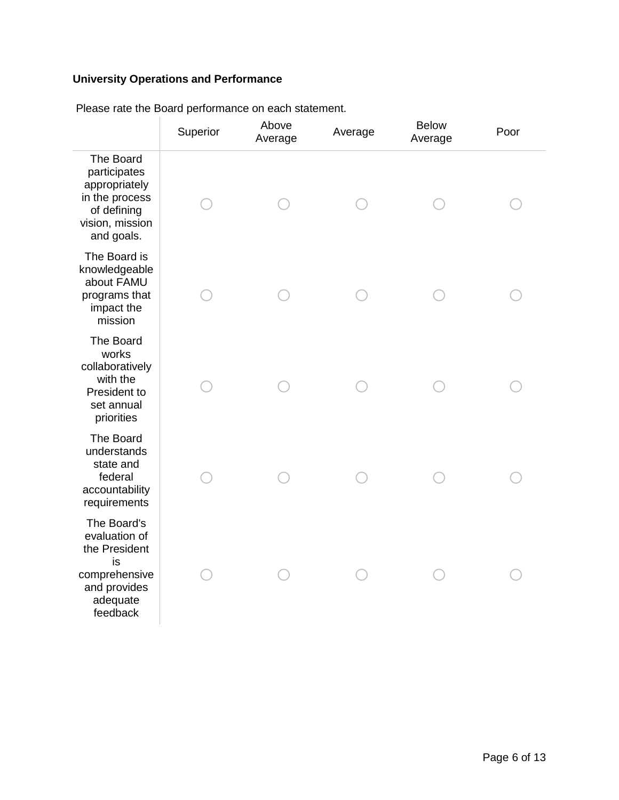## **University Operations and Performance**

|                                                                                                              | Superior | Above<br>Average | Average | <b>Below</b><br>Average | Poor |
|--------------------------------------------------------------------------------------------------------------|----------|------------------|---------|-------------------------|------|
| The Board<br>participates<br>appropriately<br>in the process<br>of defining<br>vision, mission<br>and goals. |          |                  |         |                         |      |
| The Board is<br>knowledgeable<br>about FAMU<br>programs that<br>impact the<br>mission                        |          |                  |         |                         |      |
| The Board<br>works<br>collaboratively<br>with the<br>President to<br>set annual<br>priorities                |          |                  |         |                         |      |
| The Board<br>understands<br>state and<br>federal<br>accountability<br>requirements                           |          |                  |         |                         |      |
| The Board's<br>evaluation of<br>the President<br>is<br>comprehensive<br>and provides<br>adequate<br>feedback |          |                  |         |                         |      |

Please rate the Board performance on each statement.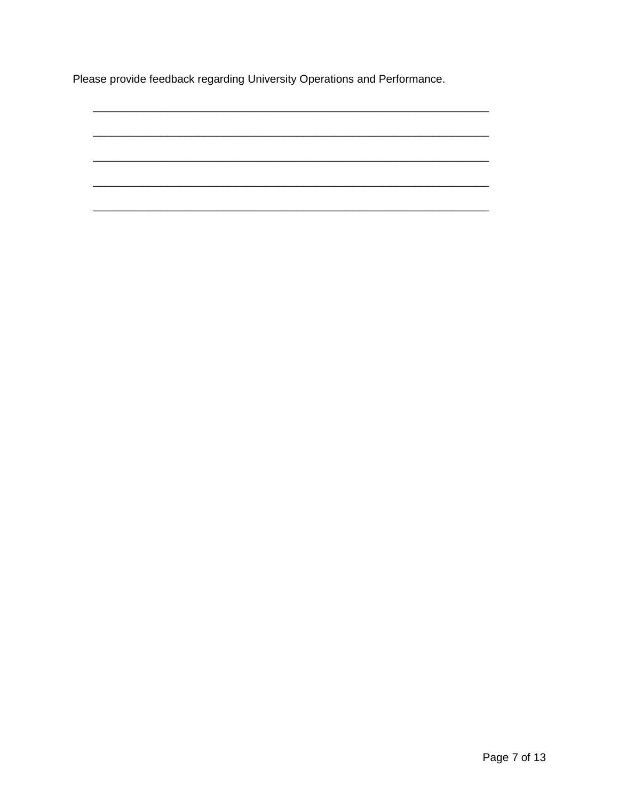Please provide feedback regarding University Operations and Performance.

Page 7 of 13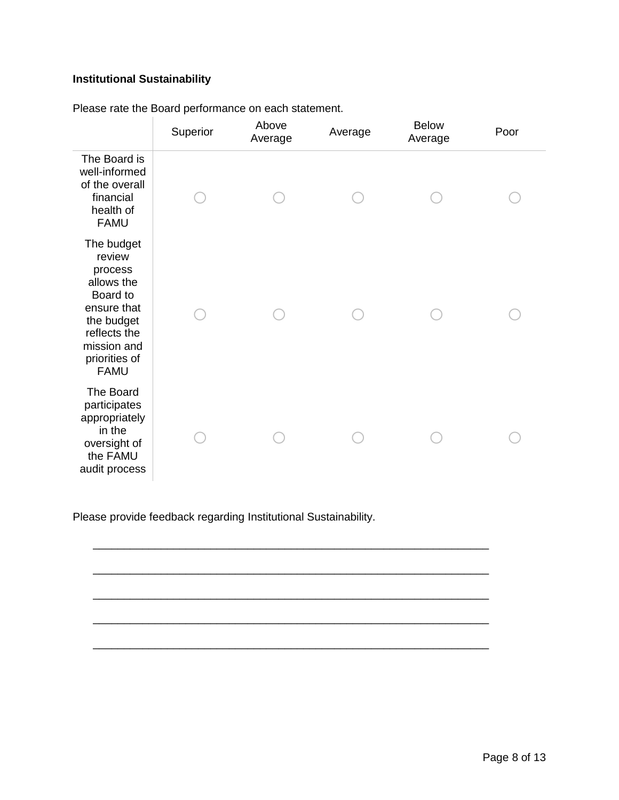## **Institutional Sustainability**

|                                                                                                                                                       | Superior | Above<br>Average | Average | <b>Below</b><br>Average | Poor |
|-------------------------------------------------------------------------------------------------------------------------------------------------------|----------|------------------|---------|-------------------------|------|
| The Board is<br>well-informed<br>of the overall<br>financial<br>health of<br><b>FAMU</b>                                                              |          |                  |         |                         |      |
| The budget<br>review<br>process<br>allows the<br>Board to<br>ensure that<br>the budget<br>reflects the<br>mission and<br>priorities of<br><b>FAMU</b> |          |                  |         |                         |      |
| The Board<br>participates<br>appropriately<br>in the<br>oversight of<br>the FAMU<br>audit process                                                     |          |                  |         |                         |      |

\_\_\_\_\_\_\_\_\_\_\_\_\_\_\_\_\_\_\_\_\_\_\_\_\_\_\_\_\_\_\_\_\_\_\_\_\_\_\_\_\_\_\_\_\_\_\_\_\_\_\_\_\_\_\_\_\_\_\_\_\_\_\_\_

\_\_\_\_\_\_\_\_\_\_\_\_\_\_\_\_\_\_\_\_\_\_\_\_\_\_\_\_\_\_\_\_\_\_\_\_\_\_\_\_\_\_\_\_\_\_\_\_\_\_\_\_\_\_\_\_\_\_\_\_\_\_\_\_

\_\_\_\_\_\_\_\_\_\_\_\_\_\_\_\_\_\_\_\_\_\_\_\_\_\_\_\_\_\_\_\_\_\_\_\_\_\_\_\_\_\_\_\_\_\_\_\_\_\_\_\_\_\_\_\_\_\_\_\_\_\_\_\_

\_\_\_\_\_\_\_\_\_\_\_\_\_\_\_\_\_\_\_\_\_\_\_\_\_\_\_\_\_\_\_\_\_\_\_\_\_\_\_\_\_\_\_\_\_\_\_\_\_\_\_\_\_\_\_\_\_\_\_\_\_\_\_\_

\_\_\_\_\_\_\_\_\_\_\_\_\_\_\_\_\_\_\_\_\_\_\_\_\_\_\_\_\_\_\_\_\_\_\_\_\_\_\_\_\_\_\_\_\_\_\_\_\_\_\_\_\_\_\_\_\_\_\_\_\_\_\_\_

Please rate the Board performance on each statement.

Please provide feedback regarding Institutional Sustainability.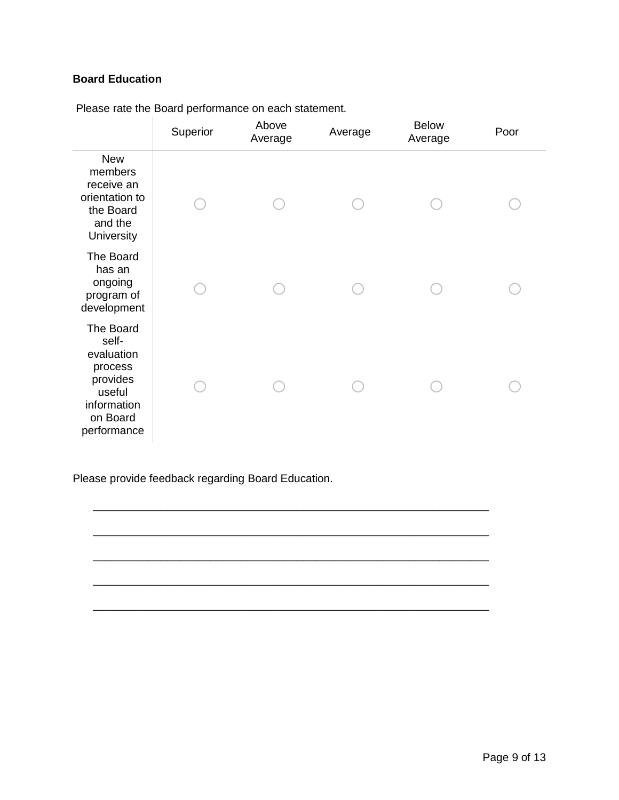### **Board Education**

|                                                                                                             | Superior | Above<br>Average | Average | <b>Below</b><br>Average | Poor |
|-------------------------------------------------------------------------------------------------------------|----------|------------------|---------|-------------------------|------|
| <b>New</b><br>members<br>receive an<br>orientation to<br>the Board<br>and the<br>University                 |          |                  |         |                         |      |
| The Board<br>has an<br>ongoing<br>program of<br>development                                                 |          |                  |         |                         |      |
| The Board<br>self-<br>evaluation<br>process<br>provides<br>useful<br>information<br>on Board<br>performance |          |                  |         |                         |      |

\_\_\_\_\_\_\_\_\_\_\_\_\_\_\_\_\_\_\_\_\_\_\_\_\_\_\_\_\_\_\_\_\_\_\_\_\_\_\_\_\_\_\_\_\_\_\_\_\_\_\_\_\_\_\_\_\_\_\_\_\_\_\_\_

\_\_\_\_\_\_\_\_\_\_\_\_\_\_\_\_\_\_\_\_\_\_\_\_\_\_\_\_\_\_\_\_\_\_\_\_\_\_\_\_\_\_\_\_\_\_\_\_\_\_\_\_\_\_\_\_\_\_\_\_\_\_\_\_

\_\_\_\_\_\_\_\_\_\_\_\_\_\_\_\_\_\_\_\_\_\_\_\_\_\_\_\_\_\_\_\_\_\_\_\_\_\_\_\_\_\_\_\_\_\_\_\_\_\_\_\_\_\_\_\_\_\_\_\_\_\_\_\_

\_\_\_\_\_\_\_\_\_\_\_\_\_\_\_\_\_\_\_\_\_\_\_\_\_\_\_\_\_\_\_\_\_\_\_\_\_\_\_\_\_\_\_\_\_\_\_\_\_\_\_\_\_\_\_\_\_\_\_\_\_\_\_\_

\_\_\_\_\_\_\_\_\_\_\_\_\_\_\_\_\_\_\_\_\_\_\_\_\_\_\_\_\_\_\_\_\_\_\_\_\_\_\_\_\_\_\_\_\_\_\_\_\_\_\_\_\_\_\_\_\_\_\_\_\_\_\_\_

Please rate the Board performance on each statement.

Please provide feedback regarding Board Education.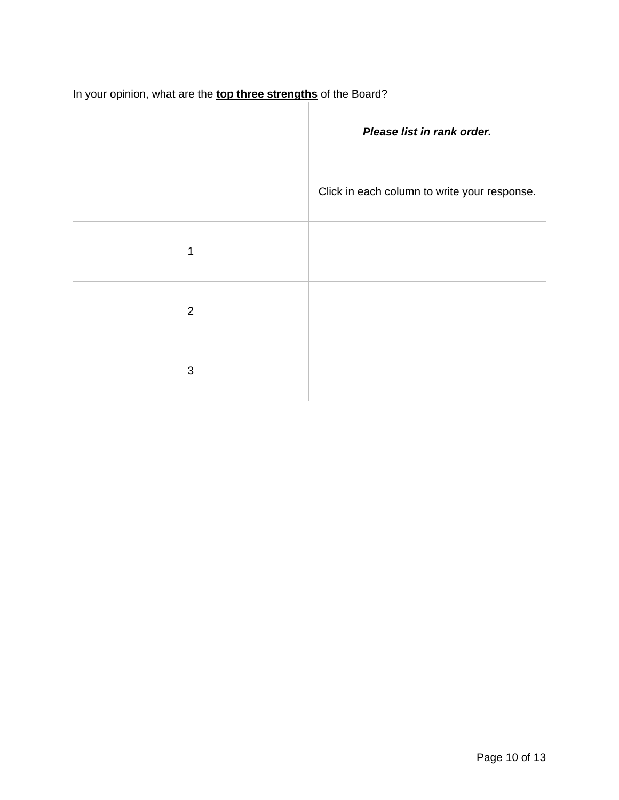In your opinion, what are the **top three strengths** of the Board?

|   | Please list in rank order.                   |
|---|----------------------------------------------|
|   | Click in each column to write your response. |
| 1 |                                              |
| 2 |                                              |
| 3 |                                              |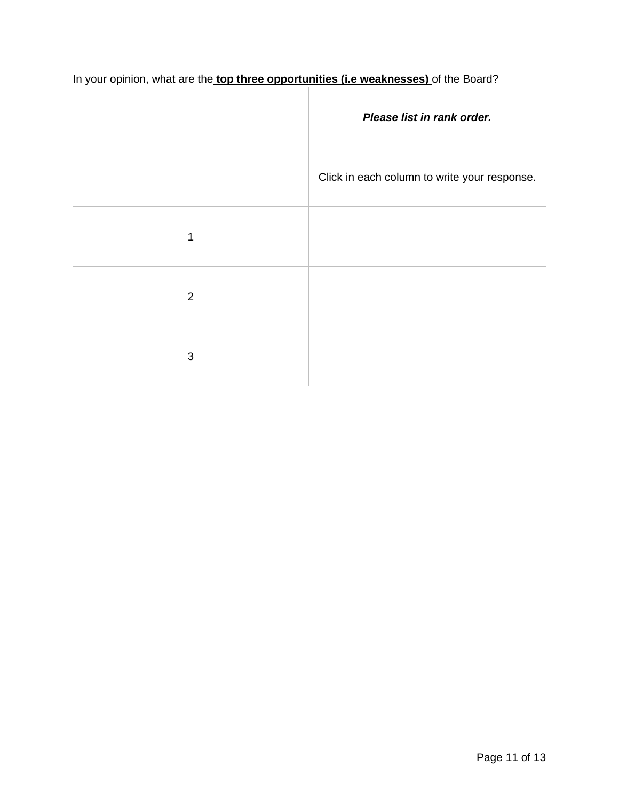In your opinion, what are the **top three opportunities (i.e weaknesses)** of the Board?

|   | Please list in rank order.                   |
|---|----------------------------------------------|
|   | Click in each column to write your response. |
| 1 |                                              |
| 2 |                                              |
| 3 |                                              |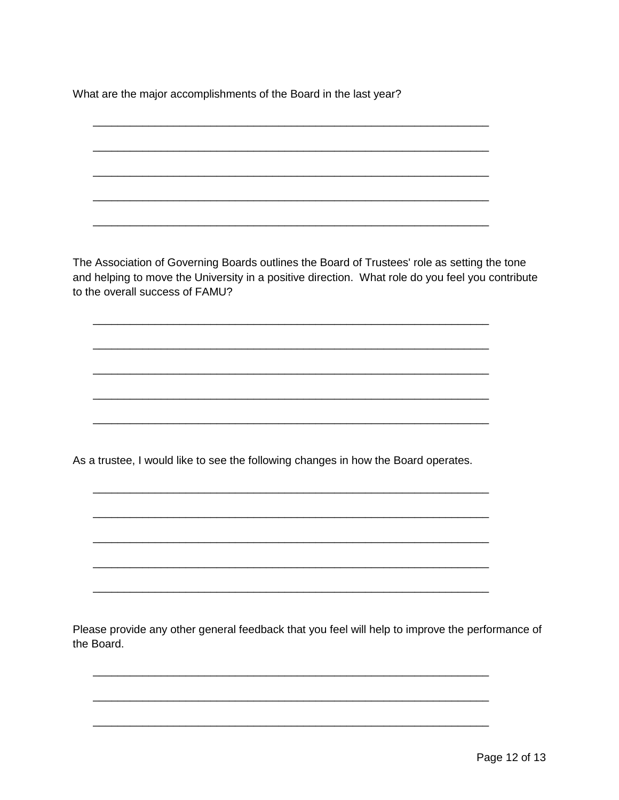What are the major accomplishments of the Board in the last year?

The Association of Governing Boards outlines the Board of Trustees' role as setting the tone and helping to move the University in a positive direction. What role do you feel you contribute to the overall success of FAMU?

As a trustee, I would like to see the following changes in how the Board operates.

Please provide any other general feedback that you feel will help to improve the performance of the Board.